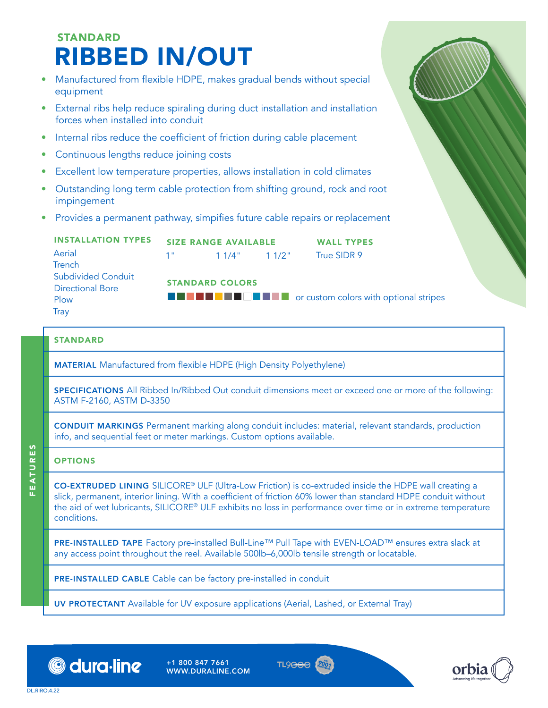## **STANDARD** RIBBED IN/OUT INSTALLATION TYPES Aerial **Trench** Subdivided Conduit Directional Bore Plow **Tray** FERTURE THE MANUFACTURE THE MERTURE TO A STANDARD<br>
FEATURE IN STANDARD STANDARD STANDARD MARUPOLES FOR MANUFACTURE OF THE MANUFACTURE OF THE CONTINUO SUPPORT STANDARD COLORING THE STANDARD COLORING THE STANDARD COLORING DO equipment • External ribs help reduce spiraling during duct installation and installation forces when installed into conduit • Internal ribs reduce the coefficient of friction during cable placement • Continuous lengths reduce joining costs • Excellent low temperature properties, allows installation in cold climates • Outstanding long term cable protection from shifting ground, rock and root impingement • Provides a permanent pathway, simpifies future cable repairs or replacement SIZE RANGE AVAILABLE  $1"$  1  $1/4"$  1  $1/2"$ WALL TYPES True SIDR 9 STANDARD MATERIAL Manufactured from flexible HDPE (High Density Polyethylene) SPECIFICATIONS All Ribbed In/Ribbed Out conduit dimensions meet or exceed one or more of the following: ASTM F-2160, ASTM D-3350 STANDARD COLORS  $\blacksquare$   $\blacksquare$   $\blacksquare$   $\blacksquare$   $\blacksquare$   $\blacksquare$   $\blacksquare$  or custom colors with optional stripes

CONDUIT MARKINGS Permanent marking along conduit includes: material, relevant standards, production info, and sequential feet or meter markings. Custom options available.

## **OPTIONS**

CO-EXTRUDED LINING SILICORE® ULF (Ultra-Low Friction) is co-extruded inside the HDPE wall creating a slick, permanent, interior lining. With a coefficient of friction 60% lower than standard HDPE conduit without the aid of wet lubricants, SILICORE® ULF exhibits no loss in performance over time or in extreme temperature conditions.

PRE-INSTALLED TAPE Factory pre-installed Bull-Line™ Pull Tape with EVEN-LOAD™ ensures extra slack at any access point throughout the reel. Available 500lb–6,000lb tensile strength or locatable.

PRE-INSTALLED CABLE Cable can be factory pre-installed in conduit

UV PROTECTANT Available for UV exposure applications (Aerial, Lashed, or External Tray)



+1 800 847 7661 WWW.DURALINE.COM